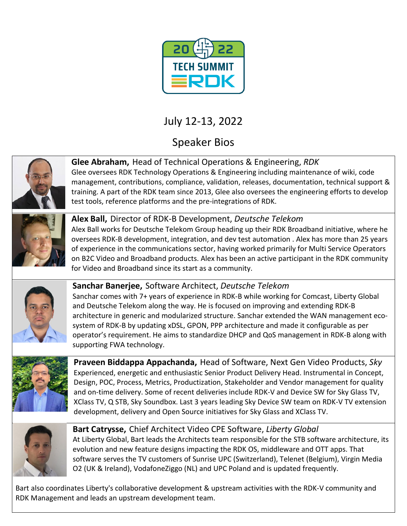

# July 12-13, 2022

Speaker Bios



**Glee Abraham,** Head of Technical Operations & Engineering, *RDK* Glee oversees RDK Technology Operations & Engineering including maintenance of wiki, code

management, contributions, compliance, validation, releases, documentation, technical support & training. A part of the RDK team since 2013, Glee also oversees the engineering efforts to develop test tools, reference platforms and the pre-integrations of RDK.



**Alex Ball,** Director of RDK-B Development, *Deutsche Telekom* Alex Ball works for Deutsche Telekom Group heading up their RDK Broadband initiative, where he oversees RDK-B development, integration, and dev test automation . Alex has more than 25 years of experience in the communications sector, having worked primarily for Multi Service Operators

on B2C Video and Broadband products. Alex has been an active participant in the RDK community for Video and Broadband since its start as a community.



**Sanchar Banerjee,** Software Architect, *Deutsche Telekom* Sanchar comes with 7+ years of experience in RDK-B while working for Comcast, Liberty Global and Deutsche Telekom along the way. He is focused on improving and extending RDK-B architecture in generic and modularized structure. Sanchar extended the WAN management ecosystem of RDK-B by updating xDSL, GPON, PPP architecture and made it configurable as per operator's requirement. He aims to standardize DHCP and QoS management in RDK-B along with supporting FWA technology.



**Praveen Biddappa Appachanda,** Head of Software, Next Gen Video Products, *Sky* Experienced, energetic and enthusiastic Senior Product Delivery Head. Instrumental in Concept, Design, POC, Process, Metrics, Productization, Stakeholder and Vendor management for quality and on-time delivery. Some of recent deliveries include RDK-V and Device SW for Sky Glass TV, XClass TV, Q STB, Sky Soundbox. Last 3 years leading Sky Device SW team on RDK-V TV extension development, delivery and Open Source initiatives for Sky Glass and XClass TV.



**Bart Catrysse,** Chief Architect Video CPE Software, *Liberty Global* At Liberty Global, Bart leads the Architects team responsible for the STB software architecture, its evolution and new feature designs impacting the RDK OS, middleware and OTT apps. That software serves the TV customers of Sunrise UPC (Switzerland), Telenet (Belgium), Virgin Media O2 (UK & Ireland), VodafoneZiggo (NL) and UPC Poland and is updated frequently.

Bart also coordinates Liberty's collaborative development & upstream activities with the RDK-V community and RDK Management and leads an upstream development team.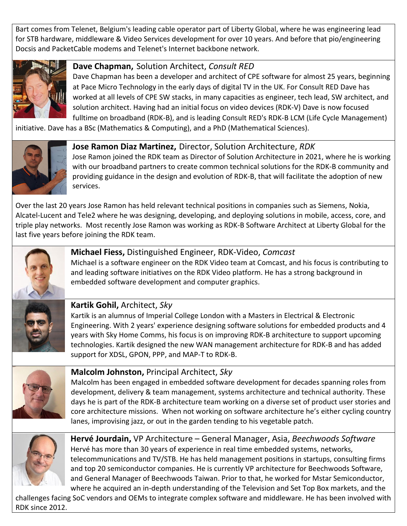Bart comes from Telenet, Belgium's leading cable operator part of Liberty Global, where he was engineering lead for STB hardware, middleware & Video Services development for over 10 years. And before that pio/engineering Docsis and PacketCable modems and Telenet's Internet backbone network.



**Dave Chapman,** Solution Architect, *Consult RED*

Dave Chapman has been a developer and architect of CPE software for almost 25 years, beginning at Pace Micro Technology in the early days of digital TV in the UK. For Consult RED Dave has worked at all levels of CPE SW stacks, in many capacities as engineer, tech lead, SW architect, and solution architect. Having had an initial focus on video devices (RDK-V) Dave is now focused fulltime on broadband (RDK-B), and is leading Consult RED's RDK-B LCM (Life Cycle Management)

initiative. Dave has a BSc (Mathematics & Computing), and a PhD (Mathematical Sciences).



**Jose Ramon Diaz Martinez,** Director, Solution Architecture, *RDK* Jose Ramon joined the RDK team as Director of Solution Architecture in 2021, where he is working with our broadband partners to create common technical solutions for the RDK-B community and providing guidance in the design and evolution of RDK-B, that will facilitate the adoption of new services.

Over the last 20 years Jose Ramon has held relevant technical positions in companies such as Siemens, Nokia, Alcatel-Lucent and Tele2 where he was designing, developing, and deploying solutions in mobile, access, core, and triple play networks. Most recently Jose Ramon was working as RDK-B Software Architect at Liberty Global for the last five years before joining the RDK team.



#### **Michael Fiess,** Distinguished Engineer, RDK-Video, *Comcast* Michael is a software engineer on the RDK Video team at Comcast, and his focus is contributing to and leading software initiatives on the RDK Video platform. He has a strong background in embedded software development and computer graphics.



### **Kartik Gohil,** Architect, *Sky*

Kartik is an alumnus of Imperial College London with a Masters in Electrical & Electronic Engineering. With 2 years' experience designing software solutions for embedded products and 4 years with Sky Home Comms, his focus is on improving RDK-B architecture to support upcoming technologies. Kartik designed the new WAN management architecture for RDK-B and has added support for XDSL, GPON, PPP, and MAP-T to RDK-B.



#### **Malcolm Johnston,** Principal Architect, *Sky*

Malcolm has been engaged in embedded software development for decades spanning roles from development, delivery & team management, systems architecture and technical authority. These days he is part of the RDK-B architecture team working on a diverse set of product user stories and core architecture missions. When not working on software architecture he's either cycling country lanes, improvising jazz, or out in the garden tending to his vegetable patch.



**Hervé Jourdain,** VP Architecture – General Manager, Asia, *Beechwoods Software* Hervé has more than 30 years of experience in real time embedded systems, networks, telecommunications and TV/STB. He has held management positions in startups, consulting firms and top 20 semiconductor companies. He is currently VP architecture for Beechwoods Software, and General Manager of Beechwoods Taiwan. Prior to that, he worked for Mstar Semiconductor, where he acquired an in-depth understanding of the Television and Set Top Box markets, and the

challenges facing SoC vendors and OEMs to integrate complex software and middleware. He has been involved with RDK since 2012.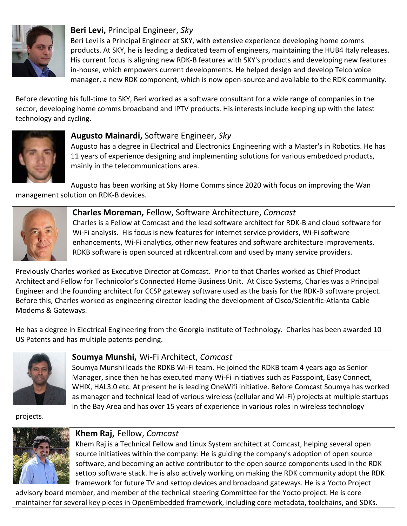

**Beri Levi,** Principal Engineer, *Sky* Beri Levi is a Principal Engineer at SKY, with extensive experience developing home comms products. At SKY, he is leading a dedicated team of engineers, maintaining the HUB4 Italy releases. His current focus is aligning new RDK-B features with SKY's products and developing new features in-house, which empowers current developments. He helped design and develop Telco voice manager, a new RDK component, which is now open-source and available to the RDK community.

Before devoting his full-time to SKY, Beri worked as a software consultant for a wide range of companies in the sector, developing home comms broadband and IPTV products. His interests include keeping up with the latest technology and cycling.



#### **Augusto Mainardi,** Software Engineer, *Sky*

Augusto has a degree in Electrical and Electronics Engineering with a Master's in Robotics. He has 11 years of experience designing and implementing solutions for various embedded products, mainly in the telecommunications area.

Augusto has been working at Sky Home Comms since 2020 with focus on improving the Wan management solution on RDK-B devices.



#### **Charles Moreman,** Fellow, Software Architecture, *Comcast*

Charles is a Fellow at Comcast and the lead software architect for RDK-B and cloud software for Wi-Fi analysis. His focus is new features for internet service providers, Wi-Fi software enhancements, Wi-Fi analytics, other new features and software architecture improvements. RDKB software is open sourced at rdkcentral.com and used by many service providers.

Previously Charles worked as Executive Director at Comcast. Prior to that Charles worked as Chief Product Architect and Fellow for Technicolor's Connected Home Business Unit. At Cisco Systems, Charles was a Principal Engineer and the founding architect for CCSP gateway software used as the basis for the RDK-B software project. Before this, Charles worked as engineering director leading the development of Cisco/Scientific-Atlanta Cable Modems & Gateways.

He has a degree in Electrical Engineering from the Georgia Institute of Technology. Charles has been awarded 10 US Patents and has multiple patents pending.



## **Soumya Munshi,** Wi-Fi Architect, *Comcast*

Soumya Munshi leads the RDKB Wi-Fi team. He joined the RDKB team 4 years ago as Senior Manager, since then he has executed many Wi-Fi initiatives such as Passpoint, Easy Connect, WHIX, HAL3.0 etc. At present he is leading OneWifi initiative. Before Comcast Soumya has worked as manager and technical lead of various wireless (cellular and Wi-Fi) projects at multiple startups in the Bay Area and has over 15 years of experience in various roles in wireless technology

projects.



#### **Khem Raj,** Fellow, *Comcast*

Khem Raj is a Technical Fellow and Linux System architect at Comcast, helping several open source initiatives within the company: He is guiding the company's adoption of open source software, and becoming an active contributor to the open source components used in the RDK settop software stack. He is also actively working on making the RDK community adopt the RDK framework for future TV and settop devices and broadband gateways. He is a Yocto Project

advisory board member, and member of the technical steering Committee for the Yocto project. He is core maintainer for several key pieces in OpenEmbedded framework, including core metadata, toolchains, and SDKs.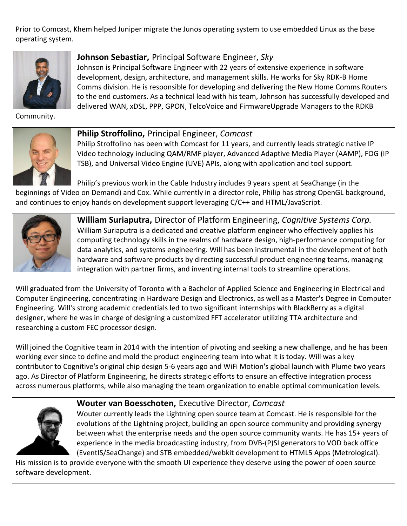Prior to Comcast, Khem helped Juniper migrate the Junos operating system to use embedded Linux as the base operating system.



**Johnson Sebastiar,** Principal Software Engineer, *Sky*

Johnson is Principal Software Engineer with 22 years of extensive experience in software development, design, architecture, and management skills. He works for Sky RDK-B Home Comms division. He is responsible for developing and delivering the New Home Comms Routers to the end customers. As a technical lead with his team, Johnson has successfully developed and delivered WAN, xDSL, PPP, GPON, TelcoVoice and FirmwareUpgrade Managers to the RDKB

Community.



#### **Philip Stroffolino,** Principal Engineer, *Comcast*

Philip Stroffolino has been with Comcast for 11 years, and currently leads strategic native IP Video technology including QAM/RMF player, Advanced Adaptive Media Player (AAMP), FOG (IP TSB), and Universal Video Engine (UVE) APIs, along with application and tool support.

Philip's previous work in the Cable Industry includes 9 years spent at SeaChange (in the beginnings of Video on Demand) and Cox. While currently in a director role, Philip has strong OpenGL background, and continues to enjoy hands on development support leveraging C/C++ and HTML/JavaScript.



**William Suriaputra,** Director of Platform Engineering, *Cognitive Systems Corp.* William Suriaputra is a dedicated and creative platform engineer who effectively applies his computing technology skills in the realms of hardware design, high-performance computing for data analytics, and systems engineering. Will has been instrumental in the development of both hardware and software products by directing successful product engineering teams, managing integration with partner firms, and inventing internal tools to streamline operations.

Will graduated from the University of Toronto with a Bachelor of Applied Science and Engineering in Electrical and Computer Engineering, concentrating in Hardware Design and Electronics, as well as a Master's Degree in Computer Engineering. Will's strong academic credentials led to two significant internships with BlackBerry as a digital designer, where he was in charge of designing a customized FFT accelerator utilizing TTA architecture and researching a custom FEC processor design.

Will joined the Cognitive team in 2014 with the intention of pivoting and seeking a new challenge, and he has been working ever since to define and mold the product engineering team into what it is today. Will was a key contributor to Cognitive's original chip design 5-6 years ago and WiFi Motion's global launch with Plume two years ago. As Director of Platform Engineering, he directs strategic efforts to ensure an effective integration process across numerous platforms, while also managing the team organization to enable optimal communication levels.



#### **Wouter van Boesschoten,** Executive Director, *Comcast*

Wouter currently leads the Lightning open source team at Comcast. He is responsible for the evolutions of the Lightning project, building an open source community and providing synergy between what the enterprise needs and the open source community wants. He has 15+ years of experience in the media broadcasting industry, from DVB-(P)SI generators to VOD back office (EventIS/SeaChange) and STB embedded/webkit development to HTML5 Apps (Metrological).

His mission is to provide everyone with the smooth UI experience they deserve using the power of open source software development.